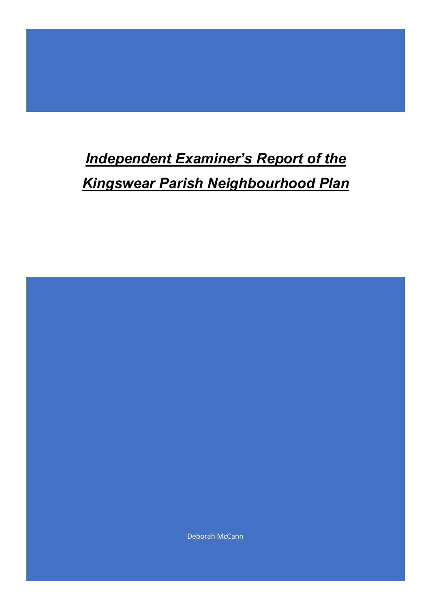# *Independent Examiner's Report of the Kingswear Parish Neighbourhood Plan*

Deborah McCann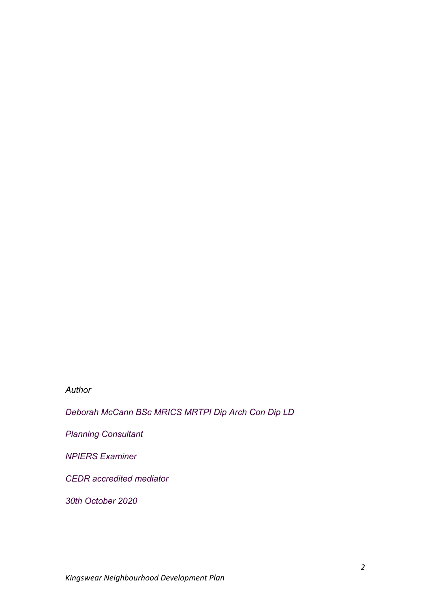## *Author*

*Deborah McCann BSc MRICS MRTPI Dip Arch Con Dip LD*

*Planning Consultant*

*NPIERS Examiner*

*CEDR accredited mediator*

*30th October 2020*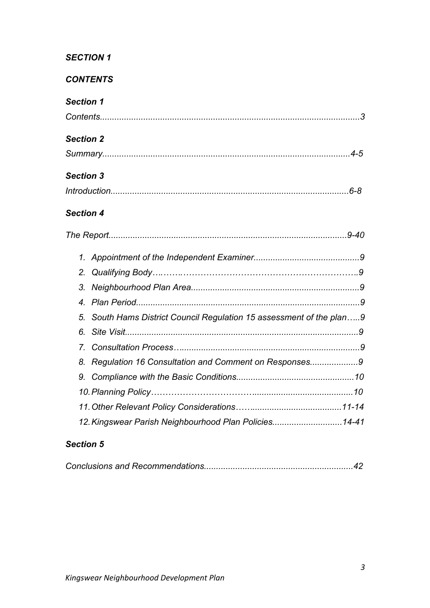# *CONTENTS*

# *Section 1*

| <b>Section 2</b> |                |                                                                   |  |
|------------------|----------------|-------------------------------------------------------------------|--|
|                  |                |                                                                   |  |
| <b>Section 3</b> |                |                                                                   |  |
|                  |                |                                                                   |  |
| <b>Section 4</b> |                |                                                                   |  |
|                  |                |                                                                   |  |
|                  | 1.             |                                                                   |  |
|                  | 2.             |                                                                   |  |
|                  | 3.             |                                                                   |  |
|                  | $\overline{4}$ |                                                                   |  |
|                  | 5.             | South Hams District Council Regulation 15 assessment of the plan9 |  |
|                  | 6.             |                                                                   |  |
|                  | 7 <sup>2</sup> |                                                                   |  |
|                  | 8.             | Regulation 16 Consultation and Comment on Responses9              |  |
|                  | 9.             |                                                                   |  |
|                  |                |                                                                   |  |
|                  |                |                                                                   |  |
|                  |                | 12. Kingswear Parish Neighbourhood Plan Policies14-41             |  |

# *Section 5*

|--|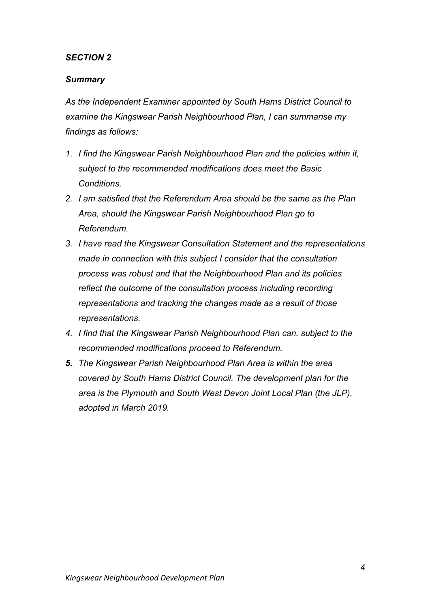## *Summary*

*As the Independent Examiner appointed by South Hams District Council to examine the Kingswear Parish Neighbourhood Plan, I can summarise my findings as follows:*

- *1. I find the Kingswear Parish Neighbourhood Plan and the policies within it, subject to the recommended modifications does meet the Basic Conditions.*
- *2. I am satisfied that the Referendum Area should be the same as the Plan Area, should the Kingswear Parish Neighbourhood Plan go to Referendum.*
- *3. I have read the Kingswear Consultation Statement and the representations made in connection with this subject I consider that the consultation process was robust and that the Neighbourhood Plan and its policies reflect the outcome of the consultation process including recording representations and tracking the changes made as a result of those representations.*
- *4. I find that the Kingswear Parish Neighbourhood Plan can, subject to the recommended modifications proceed to Referendum.*
- *5. The Kingswear Parish Neighbourhood Plan Area is within the area covered by South Hams District Council. The development plan for the area is the Plymouth and South West Devon Joint Local Plan (the JLP), adopted in March 2019.*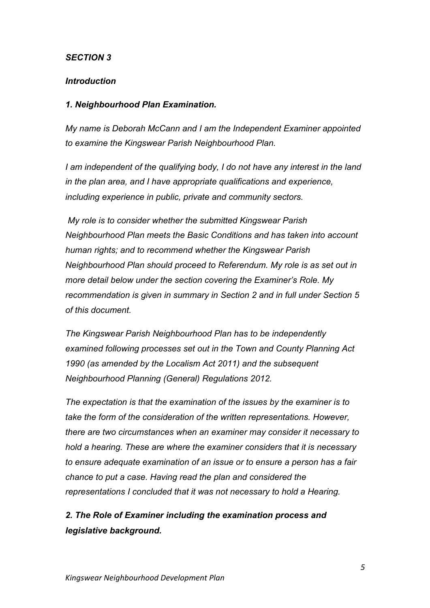## *Introduction*

## *1. Neighbourhood Plan Examination.*

*My name is Deborah McCann and I am the Independent Examiner appointed to examine the Kingswear Parish Neighbourhood Plan.*

*I am independent of the qualifying body, I do not have any interest in the land in the plan area, and I have appropriate qualifications and experience, including experience in public, private and community sectors.*

*My role is to consider whether the submitted Kingswear Parish Neighbourhood Plan meets the Basic Conditions and has taken into account human rights; and to recommend whether the Kingswear Parish Neighbourhood Plan should proceed to Referendum. My role is as set out in more detail below under the section covering the Examiner's Role. My recommendation is given in summary in Section 2 and in full under Section 5 of this document.*

*The Kingswear Parish Neighbourhood Plan has to be independently examined following processes set out in the Town and County Planning Act 1990 (as amended by the Localism Act 2011) and the subsequent Neighbourhood Planning (General) Regulations 2012.*

*The expectation is that the examination of the issues by the examiner is to take the form of the consideration of the written representations. However, there are two circumstances when an examiner may consider it necessary to hold a hearing. These are where the examiner considers that it is necessary to ensure adequate examination of an issue or to ensure a person has a fair chance to put a case. Having read the plan and considered the representations I concluded that it was not necessary to hold a Hearing.* 

# *2. The Role of Examiner including the examination process and legislative background.*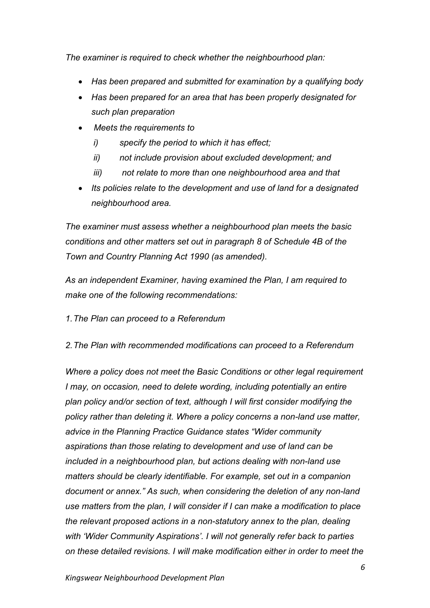*The examiner is required to check whether the neighbourhood plan:* 

- *Has been prepared and submitted for examination by a qualifying body*
- *Has been prepared for an area that has been properly designated for such plan preparation*
- *Meets the requirements to*
	- *i) specify the period to which it has effect;*
	- *ii) not include provision about excluded development; and*
	- *iii) not relate to more than one neighbourhood area and that*
- *Its policies relate to the development and use of land for a designated neighbourhood area.*

*The examiner must assess whether a neighbourhood plan meets the basic conditions and other matters set out in paragraph 8 of Schedule 4B of the Town and Country Planning Act 1990 (as amended).* 

*As an independent Examiner, having examined the Plan, I am required to make one of the following recommendations:*

*1.The Plan can proceed to a Referendum* 

*2.The Plan with recommended modifications can proceed to a Referendum* 

*Where a policy does not meet the Basic Conditions or other legal requirement I* may, on occasion, need to delete wording, including potentially an entire *plan policy and/or section of text, although I will first consider modifying the policy rather than deleting it. Where a policy concerns a non-land use matter, advice in the Planning Practice Guidance states "Wider community aspirations than those relating to development and use of land can be included in a neighbourhood plan, but actions dealing with non-land use matters should be clearly identifiable. For example, set out in a companion document or annex." As such, when considering the deletion of any non-land use matters from the plan, I will consider if I can make a modification to place the relevant proposed actions in a non-statutory annex to the plan, dealing with 'Wider Community Aspirations'. I will not generally refer back to parties on these detailed revisions. I will make modification either in order to meet the*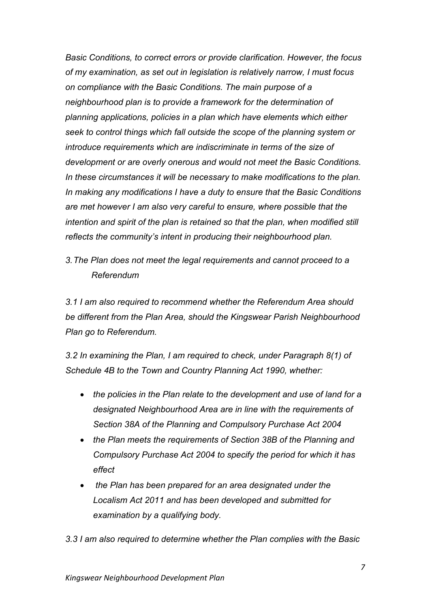*Basic Conditions, to correct errors or provide clarification. However, the focus of my examination, as set out in legislation is relatively narrow, I must focus on compliance with the Basic Conditions. The main purpose of a neighbourhood plan is to provide a framework for the determination of planning applications, policies in a plan which have elements which either seek to control things which fall outside the scope of the planning system or introduce requirements which are indiscriminate in terms of the size of development or are overly onerous and would not meet the Basic Conditions. In these circumstances it will be necessary to make modifications to the plan. In making any modifications I have a duty to ensure that the Basic Conditions are met however I am also very careful to ensure, where possible that the intention and spirit of the plan is retained so that the plan, when modified still reflects the community's intent in producing their neighbourhood plan.*

*3.The Plan does not meet the legal requirements and cannot proceed to a Referendum* 

*3.1 I am also required to recommend whether the Referendum Area should be different from the Plan Area, should the Kingswear Parish Neighbourhood Plan go to Referendum.* 

*3.2 In examining the Plan, I am required to check, under Paragraph 8(1) of Schedule 4B to the Town and Country Planning Act 1990, whether:* 

- *the policies in the Plan relate to the development and use of land for a designated Neighbourhood Area are in line with the requirements of Section 38A of the Planning and Compulsory Purchase Act 2004*
- *the Plan meets the requirements of Section 38B of the Planning and Compulsory Purchase Act 2004 to specify the period for which it has effect*
- *the Plan has been prepared for an area designated under the Localism Act 2011 and has been developed and submitted for examination by a qualifying body.*

*3.3 I am also required to determine whether the Plan complies with the Basic*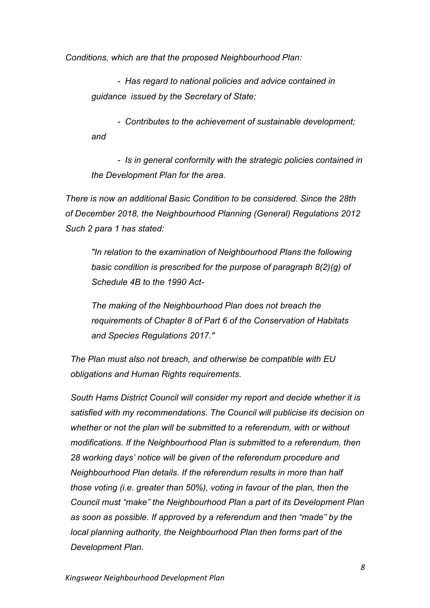*Conditions, which are that the proposed Neighbourhood Plan:*

*- Has regard to national policies and advice contained in guidance issued by the Secretary of State;* 

*- Contributes to the achievement of sustainable development; and* 

*- Is in general conformity with the strategic policies contained in the Development Plan for the area.* 

*There is now an additional Basic Condition to be considered. Since the 28th of December 2018, the Neighbourhood Planning (General) Regulations 2012 Such 2 para 1 has stated:*

*"In relation to the examination of Neighbourhood Plans the following basic condition is prescribed for the purpose of paragraph 8(2)(g) of Schedule 4B to the 1990 Act-*

*The making of the Neighbourhood Plan does not breach the requirements of Chapter 8 of Part 6 of the Conservation of Habitats and Species Regulations 2017."*

*The Plan must also not breach, and otherwise be compatible with EU obligations and Human Rights requirements.*

*South Hams District Council will consider my report and decide whether it is satisfied with my recommendations. The Council will publicise its decision on whether or not the plan will be submitted to a referendum, with or without modifications. If the Neighbourhood Plan is submitted to a referendum, then 28 working days' notice will be given of the referendum procedure and Neighbourhood Plan details. If the referendum results in more than half those voting (i.e. greater than 50%), voting in favour of the plan, then the Council must "make" the Neighbourhood Plan a part of its Development Plan as soon as possible. If approved by a referendum and then "made" by the local planning authority, the Neighbourhood Plan then forms part of the Development Plan.*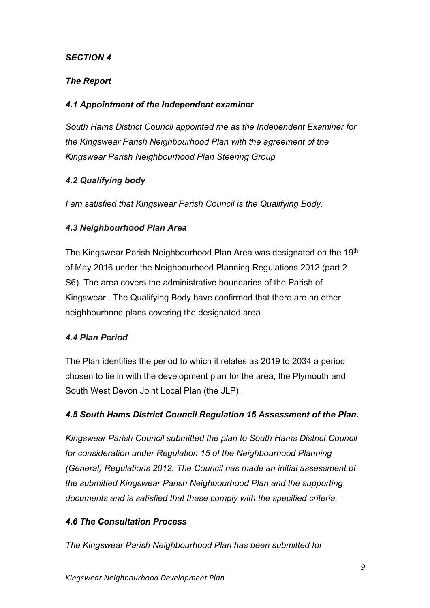# *The Report*

## *4.1 Appointment of the Independent examiner*

*South Hams District Council appointed me as the Independent Examiner for the Kingswear Parish Neighbourhood Plan with the agreement of the Kingswear Parish Neighbourhood Plan Steering Group*

# *4.2 Qualifying body*

*I am satisfied that Kingswear Parish Council is the Qualifying Body.* 

## *4.3 Neighbourhood Plan Area*

The Kingswear Parish Neighbourhood Plan Area was designated on the 19<sup>th</sup> of May 2016 under the Neighbourhood Planning Regulations 2012 (part 2 S6). The area covers the administrative boundaries of the Parish of Kingswear. The Qualifying Body have confirmed that there are no other neighbourhood plans covering the designated area.

## *4.4 Plan Period*

The Plan identifies the period to which it relates as 2019 to 2034 a period chosen to tie in with the development plan for the area, the Plymouth and South West Devon Joint Local Plan (the JLP).

## *4.5 South Hams District Council Regulation 15 Assessment of the Plan.*

*Kingswear Parish Council submitted the plan to South Hams District Council for consideration under Regulation 15 of the Neighbourhood Planning (General) Regulations 2012. The Council has made an initial assessment of the submitted Kingswear Parish Neighbourhood Plan and the supporting documents and is satisfied that these comply with the specified criteria.*

## *4.6 The Consultation Process*

*The Kingswear Parish Neighbourhood Plan has been submitted for*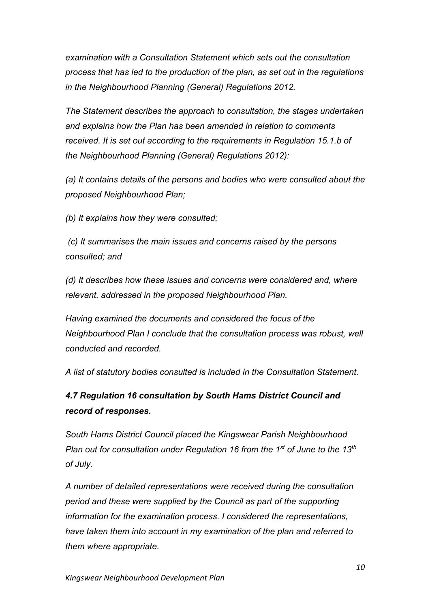*examination with a Consultation Statement which sets out the consultation process that has led to the production of the plan, as set out in the regulations in the Neighbourhood Planning (General) Regulations 2012.*

*The Statement describes the approach to consultation, the stages undertaken and explains how the Plan has been amended in relation to comments received. It is set out according to the requirements in Regulation 15.1.b of the Neighbourhood Planning (General) Regulations 2012):*

*(a) It contains details of the persons and bodies who were consulted about the proposed Neighbourhood Plan;*

*(b) It explains how they were consulted;*

*(c) It summarises the main issues and concerns raised by the persons consulted; and*

*(d) It describes how these issues and concerns were considered and, where relevant, addressed in the proposed Neighbourhood Plan.*

*Having examined the documents and considered the focus of the Neighbourhood Plan I conclude that the consultation process was robust, well conducted and recorded.*

*A list of statutory bodies consulted is included in the Consultation Statement.*

# *4.7 Regulation 16 consultation by South Hams District Council and record of responses.*

*South Hams District Council placed the Kingswear Parish Neighbourhood Plan out for consultation under Regulation 16 from the 1st of June to the 13th of July.*

*A number of detailed representations were received during the consultation period and these were supplied by the Council as part of the supporting information for the examination process. I considered the representations, have taken them into account in my examination of the plan and referred to them where appropriate.*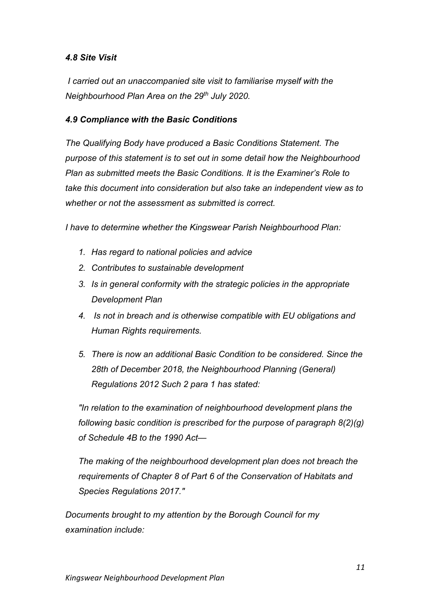## *4.8 Site Visit*

*I carried out an unaccompanied site visit to familiarise myself with the Neighbourhood Plan Area on the 29th July 2020.*

## *4.9 Compliance with the Basic Conditions*

*The Qualifying Body have produced a Basic Conditions Statement. The purpose of this statement is to set out in some detail how the Neighbourhood Plan as submitted meets the Basic Conditions. It is the Examiner's Role to take this document into consideration but also take an independent view as to whether or not the assessment as submitted is correct.*

*I have to determine whether the Kingswear Parish Neighbourhood Plan:* 

- *1. Has regard to national policies and advice*
- *2. Contributes to sustainable development*
- *3. Is in general conformity with the strategic policies in the appropriate Development Plan*
- *4. Is not in breach and is otherwise compatible with EU obligations and Human Rights requirements.*
- *5. There is now an additional Basic Condition to be considered. Since the 28th of December 2018, the Neighbourhood Planning (General) Regulations 2012 Such 2 para 1 has stated:*

*"In relation to the examination of neighbourhood development plans the following basic condition is prescribed for the purpose of paragraph 8(2)(g) of Schedule 4B to the 1990 Act—*

*The making of the neighbourhood development plan does not breach the requirements of Chapter 8 of Part 6 of the Conservation of Habitats and Species Regulations 2017."*

*Documents brought to my attention by the Borough Council for my examination include:*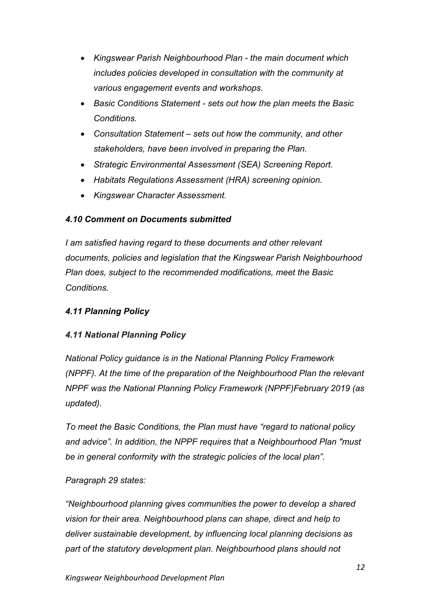- *Kingswear Parish Neighbourhood Plan - the main document which includes policies developed in consultation with the community at various engagement events and workshops.*
- *Basic Conditions Statement - sets out how the plan meets the Basic Conditions.*
- *Consultation Statement – sets out how the community, and other stakeholders, have been involved in preparing the Plan.*
- *Strategic Environmental Assessment (SEA) Screening Report.*
- *Habitats Regulations Assessment (HRA) screening opinion.*
- *Kingswear Character Assessment.*

# *4.10 Comment on Documents submitted*

*I am satisfied having regard to these documents and other relevant documents, policies and legislation that the Kingswear Parish Neighbourhood Plan does, subject to the recommended modifications, meet the Basic Conditions.*

# *4.11 Planning Policy*

# *4.11 National Planning Policy*

*National Policy guidance is in the National Planning Policy Framework (NPPF). At the time of the preparation of the Neighbourhood Plan the relevant NPPF was the National Planning Policy Framework (NPPF)February 2019 (as updated).* 

*To meet the Basic Conditions, the Plan must have "regard to national policy and advice". In addition, the NPPF requires that a Neighbourhood Plan "must be in general conformity with the strategic policies of the local plan".* 

# *Paragraph 29 states:*

*"Neighbourhood planning gives communities the power to develop a shared vision for their area. Neighbourhood plans can shape, direct and help to deliver sustainable development, by influencing local planning decisions as part of the statutory development plan. Neighbourhood plans should not*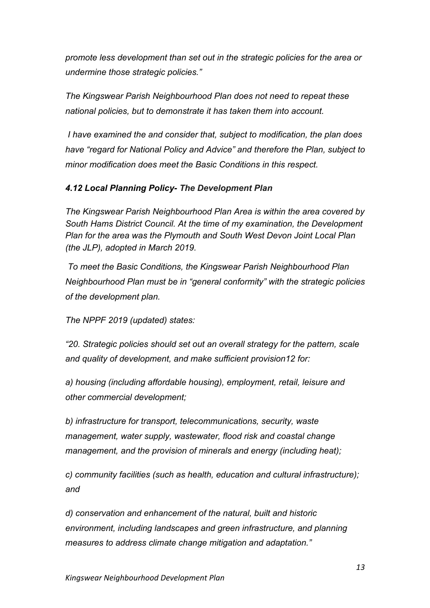*promote less development than set out in the strategic policies for the area or undermine those strategic policies."*

*The Kingswear Parish Neighbourhood Plan does not need to repeat these national policies, but to demonstrate it has taken them into account.*

*I have examined the and consider that, subject to modification, the plan does have "regard for National Policy and Advice" and therefore the Plan, subject to minor modification does meet the Basic Conditions in this respect.*

## *4.12 Local Planning Policy- The Development Plan*

*The Kingswear Parish Neighbourhood Plan Area is within the area covered by South Hams District Council. At the time of my examination, the Development Plan for the area was the Plymouth and South West Devon Joint Local Plan (the JLP), adopted in March 2019.* 

*To meet the Basic Conditions, the Kingswear Parish Neighbourhood Plan Neighbourhood Plan must be in "general conformity" with the strategic policies of the development plan.* 

*The NPPF 2019 (updated) states:*

*"20. Strategic policies should set out an overall strategy for the pattern, scale and quality of development, and make sufficient provision12 for:*

*a) housing (including affordable housing), employment, retail, leisure and other commercial development;*

*b) infrastructure for transport, telecommunications, security, waste management, water supply, wastewater, flood risk and coastal change management, and the provision of minerals and energy (including heat);*

*c) community facilities (such as health, education and cultural infrastructure); and*

*d) conservation and enhancement of the natural, built and historic environment, including landscapes and green infrastructure, and planning measures to address climate change mitigation and adaptation."*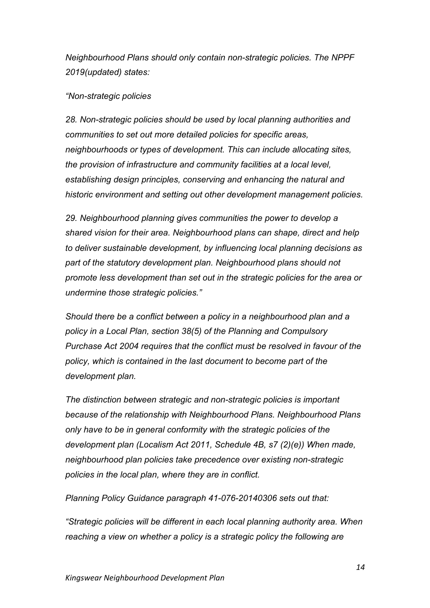*Neighbourhood Plans should only contain non-strategic policies. The NPPF 2019(updated) states:*

#### *"Non-strategic policies*

*28. Non-strategic policies should be used by local planning authorities and communities to set out more detailed policies for specific areas, neighbourhoods or types of development. This can include allocating sites, the provision of infrastructure and community facilities at a local level, establishing design principles, conserving and enhancing the natural and historic environment and setting out other development management policies.*

*29. Neighbourhood planning gives communities the power to develop a shared vision for their area. Neighbourhood plans can shape, direct and help to deliver sustainable development, by influencing local planning decisions as part of the statutory development plan. Neighbourhood plans should not promote less development than set out in the strategic policies for the area or undermine those strategic policies."*

*Should there be a conflict between a policy in a neighbourhood plan and a policy in a Local Plan, section 38(5) of the Planning and Compulsory Purchase Act 2004 requires that the conflict must be resolved in favour of the policy, which is contained in the last document to become part of the development plan.*

*The distinction between strategic and non-strategic policies is important because of the relationship with Neighbourhood Plans. Neighbourhood Plans only have to be in general conformity with the strategic policies of the development plan (Localism Act 2011, Schedule 4B, s7 (2)(e)) When made, neighbourhood plan policies take precedence over existing non-strategic policies in the local plan, where they are in conflict.*

*Planning Policy Guidance paragraph 41-076-20140306 sets out that:* 

*"Strategic policies will be different in each local planning authority area. When reaching a view on whether a policy is a strategic policy the following are*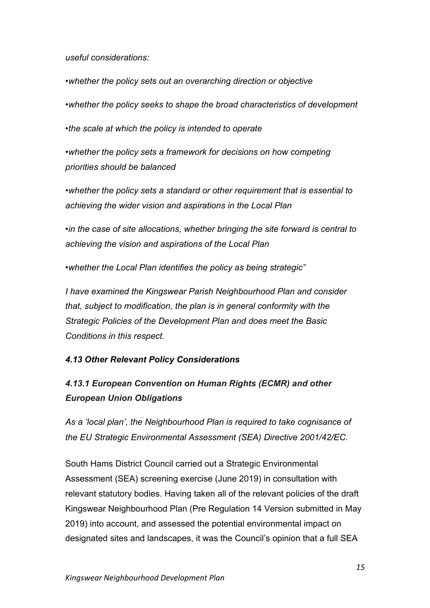*useful considerations:*

*•whether the policy sets out an overarching direction or objective*

*•whether the policy seeks to shape the broad characteristics of development*

*•the scale at which the policy is intended to operate*

*•whether the policy sets a framework for decisions on how competing priorities should be balanced*

*•whether the policy sets a standard or other requirement that is essential to achieving the wider vision and aspirations in the Local Plan*

*•in the case of site allocations, whether bringing the site forward is central to achieving the vision and aspirations of the Local Plan*

*•whether the Local Plan identifies the policy as being strategic"*

*I have examined the Kingswear Parish Neighbourhood Plan and consider that, subject to modification, the plan is in general conformity with the Strategic Policies of the Development Plan and does meet the Basic Conditions in this respect.*

# *4.13 Other Relevant Policy Considerations*

# *4.13.1 European Convention on Human Rights (ECMR) and other European Union Obligations*

*As a 'local plan', the Neighbourhood Plan is required to take cognisance of the EU Strategic Environmental Assessment (SEA) Directive 2001/42/EC.* 

South Hams District Council carried out a Strategic Environmental Assessment (SEA) screening exercise (June 2019) in consultation with relevant statutory bodies. Having taken all of the relevant policies of the draft Kingswear Neighbourhood Plan (Pre Regulation 14 Version submitted in May 2019) into account, and assessed the potential environmental impact on designated sites and landscapes, it was the Council's opinion that a full SEA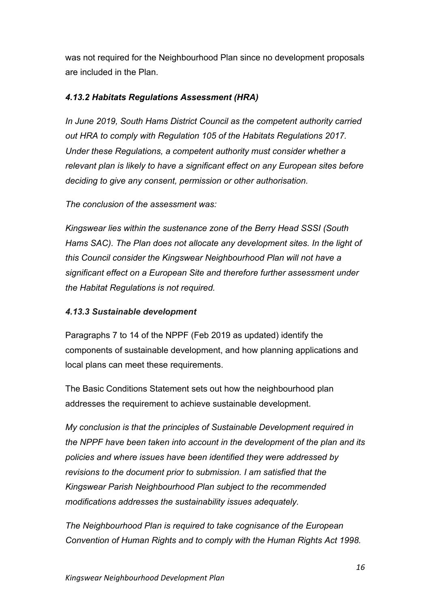was not required for the Neighbourhood Plan since no development proposals are included in the Plan.

## *4.13.2 Habitats Regulations Assessment (HRA)*

*In June 2019, South Hams District Council as the competent authority carried out HRA to comply with Regulation 105 of the Habitats Regulations 2017. Under these Regulations, a competent authority must consider whether a relevant plan is likely to have a significant effect on any European sites before deciding to give any consent, permission or other authorisation.* 

*The conclusion of the assessment was:*

*Kingswear lies within the sustenance zone of the Berry Head SSSI (South Hams SAC). The Plan does not allocate any development sites. In the light of this Council consider the Kingswear Neighbourhood Plan will not have a significant effect on a European Site and therefore further assessment under the Habitat Regulations is not required.* 

## *4.13.3 Sustainable development*

Paragraphs 7 to 14 of the NPPF (Feb 2019 as updated) identify the components of sustainable development, and how planning applications and local plans can meet these requirements.

The Basic Conditions Statement sets out how the neighbourhood plan addresses the requirement to achieve sustainable development.

*My conclusion is that the principles of Sustainable Development required in the NPPF have been taken into account in the development of the plan and its policies and where issues have been identified they were addressed by revisions to the document prior to submission. I am satisfied that the Kingswear Parish Neighbourhood Plan subject to the recommended modifications addresses the sustainability issues adequately.*

*The Neighbourhood Plan is required to take cognisance of the European Convention of Human Rights and to comply with the Human Rights Act 1998.*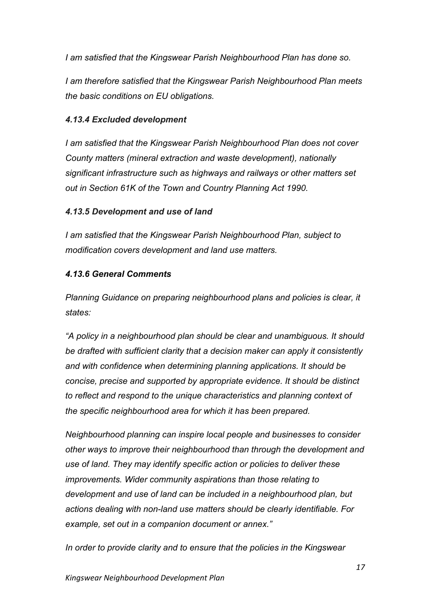*I am satisfied that the Kingswear Parish Neighbourhood Plan has done so.*

*I am therefore satisfied that the Kingswear Parish Neighbourhood Plan meets the basic conditions on EU obligations.* 

# *4.13.4 Excluded development*

*I am satisfied that the Kingswear Parish Neighbourhood Plan does not cover County matters (mineral extraction and waste development), nationally significant infrastructure such as highways and railways or other matters set out in Section 61K of the Town and Country Planning Act 1990.*

# *4.13.5 Development and use of land*

*I am satisfied that the Kingswear Parish Neighbourhood Plan, subject to modification covers development and land use matters.*

# *4.13.6 General Comments*

*Planning Guidance on preparing neighbourhood plans and policies is clear, it states:*

*"A policy in a neighbourhood plan should be clear and unambiguous. It should be drafted with sufficient clarity that a decision maker can apply it consistently and with confidence when determining planning applications. It should be concise, precise and supported by appropriate evidence. It should be distinct to reflect and respond to the unique characteristics and planning context of the specific neighbourhood area for which it has been prepared.*

*Neighbourhood planning can inspire local people and businesses to consider other ways to improve their neighbourhood than through the development and use of land. They may identify specific action or policies to deliver these improvements. Wider community aspirations than those relating to development and use of land can be included in a neighbourhood plan, but actions dealing with non-land use matters should be clearly identifiable. For example, set out in a companion document or annex."*

*In order to provide clarity and to ensure that the policies in the Kingswear*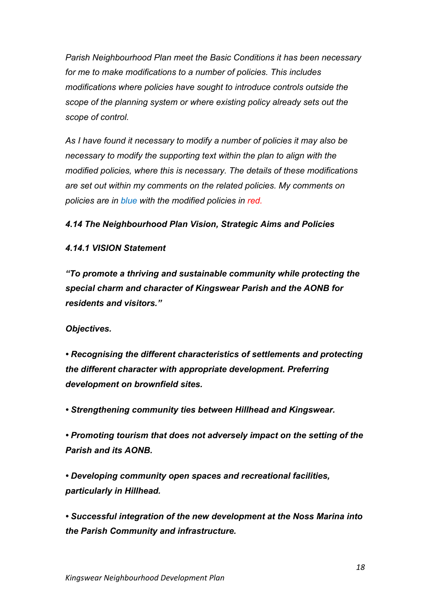*Parish Neighbourhood Plan meet the Basic Conditions it has been necessary for me to make modifications to a number of policies. This includes modifications where policies have sought to introduce controls outside the scope of the planning system or where existing policy already sets out the scope of control.* 

*As I have found it necessary to modify a number of policies it may also be necessary to modify the supporting text within the plan to align with the modified policies, where this is necessary. The details of these modifications are set out within my comments on the related policies. My comments on policies are in blue with the modified policies in red.*

## *4.14 The Neighbourhood Plan Vision, Strategic Aims and Policies*

## *4.14.1 VISION Statement*

*"To promote a thriving and sustainable community while protecting the special charm and character of Kingswear Parish and the AONB for residents and visitors."*

#### *Objectives.*

*• Recognising the different characteristics of settlements and protecting the different character with appropriate development. Preferring development on brownfield sites.*

*• Strengthening community ties between Hillhead and Kingswear.*

*• Promoting tourism that does not adversely impact on the setting of the Parish and its AONB.*

*• Developing community open spaces and recreational facilities, particularly in Hillhead.*

*• Successful integration of the new development at the Noss Marina into the Parish Community and infrastructure.*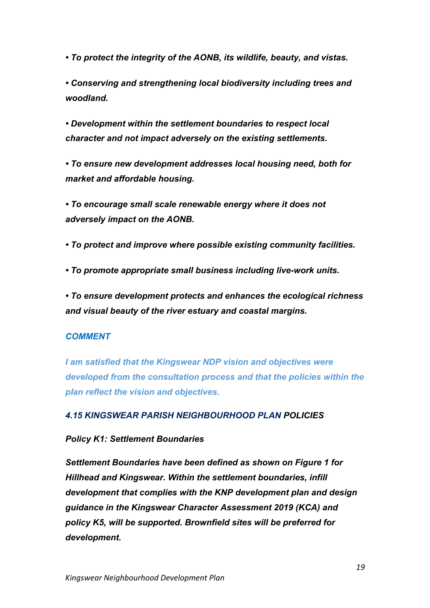*• To protect the integrity of the AONB, its wildlife, beauty, and vistas.*

*• Conserving and strengthening local biodiversity including trees and woodland.*

*• Development within the settlement boundaries to respect local character and not impact adversely on the existing settlements.*

*• To ensure new development addresses local housing need, both for market and affordable housing.*

*• To encourage small scale renewable energy where it does not adversely impact on the AONB.*

*• To protect and improve where possible existing community facilities.*

*• To promote appropriate small business including live-work units.*

*• To ensure development protects and enhances the ecological richness and visual beauty of the river estuary and coastal margins.*

## *COMMENT*

*I am satisfied that the Kingswear NDP vision and objectives were developed from the consultation process and that the policies within the plan reflect the vision and objectives.*

## *4.15 KINGSWEAR PARISH NEIGHBOURHOOD PLAN POLICIES*

## *Policy K1: Settlement Boundaries*

*Settlement Boundaries have been defined as shown on Figure 1 for Hillhead and Kingswear. Within the settlement boundaries, infill development that complies with the KNP development plan and design guidance in the Kingswear Character Assessment 2019 (KCA) and policy K5, will be supported. Brownfield sites will be preferred for development.*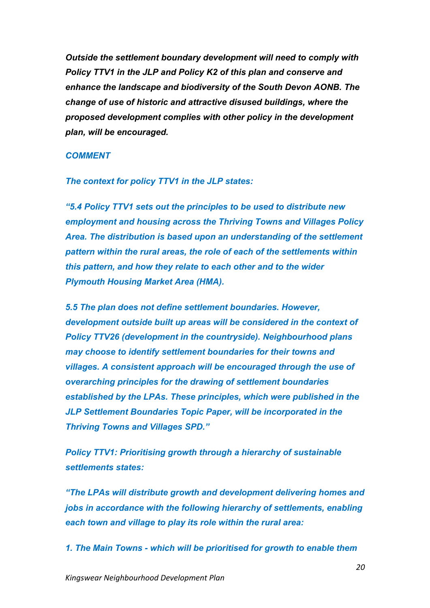*Outside the settlement boundary development will need to comply with Policy TTV1 in the JLP and Policy K2 of this plan and conserve and enhance the landscape and biodiversity of the South Devon AONB. The change of use of historic and attractive disused buildings, where the proposed development complies with other policy in the development plan, will be encouraged.*

#### *COMMENT*

*The context for policy TTV1 in the JLP states:*

*"5.4 Policy TTV1 sets out the principles to be used to distribute new employment and housing across the Thriving Towns and Villages Policy Area. The distribution is based upon an understanding of the settlement pattern within the rural areas, the role of each of the settlements within this pattern, and how they relate to each other and to the wider Plymouth Housing Market Area (HMA).*

*5.5 The plan does not define settlement boundaries. However, development outside built up areas will be considered in the context of Policy TTV26 (development in the countryside). Neighbourhood plans may choose to identify settlement boundaries for their towns and villages. A consistent approach will be encouraged through the use of overarching principles for the drawing of settlement boundaries established by the LPAs. These principles, which were published in the JLP Settlement Boundaries Topic Paper, will be incorporated in the Thriving Towns and Villages SPD."*

*Policy TTV1: Prioritising growth through a hierarchy of sustainable settlements states:*

*"The LPAs will distribute growth and development delivering homes and jobs in accordance with the following hierarchy of settlements, enabling each town and village to play its role within the rural area:*

*1. The Main Towns - which will be prioritised for growth to enable them*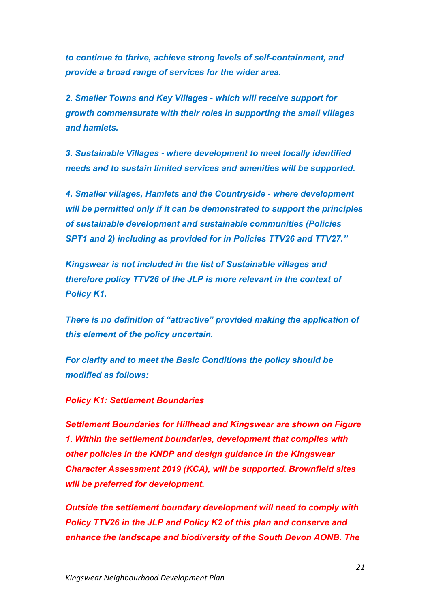*to continue to thrive, achieve strong levels of self-containment, and provide a broad range of services for the wider area.*

*2. Smaller Towns and Key Villages - which will receive support for growth commensurate with their roles in supporting the small villages and hamlets.*

*3. Sustainable Villages - where development to meet locally identified needs and to sustain limited services and amenities will be supported.*

*4. Smaller villages, Hamlets and the Countryside - where development will be permitted only if it can be demonstrated to support the principles of sustainable development and sustainable communities (Policies SPT1 and 2) including as provided for in Policies TTV26 and TTV27."*

*Kingswear is not included in the list of Sustainable villages and therefore policy TTV26 of the JLP is more relevant in the context of Policy K1.*

*There is no definition of "attractive" provided making the application of this element of the policy uncertain.*

*For clarity and to meet the Basic Conditions the policy should be modified as follows:*

#### *Policy K1: Settlement Boundaries*

*Settlement Boundaries for Hillhead and Kingswear are shown on Figure 1. Within the settlement boundaries, development that complies with other policies in the KNDP and design guidance in the Kingswear Character Assessment 2019 (KCA), will be supported. Brownfield sites will be preferred for development.*

*Outside the settlement boundary development will need to comply with Policy TTV26 in the JLP and Policy K2 of this plan and conserve and enhance the landscape and biodiversity of the South Devon AONB. The*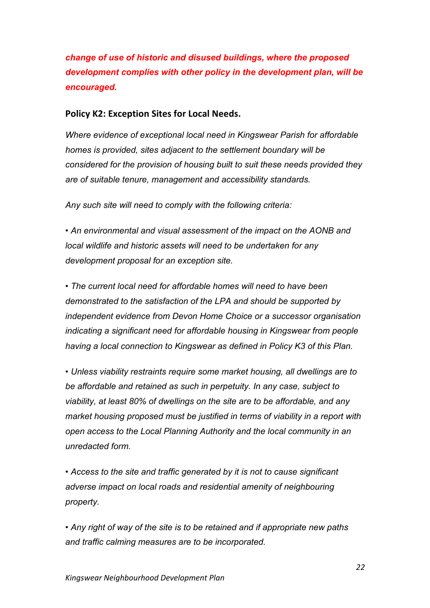*change of use of historic and disused buildings, where the proposed development complies with other policy in the development plan, will be encouraged.*

## **Policy K2: Exception Sites for Local Needs.**

*Where evidence of exceptional local need in Kingswear Parish for affordable homes is provided, sites adjacent to the settlement boundary will be considered for the provision of housing built to suit these needs provided they are of suitable tenure, management and accessibility standards.*

*Any such site will need to comply with the following criteria:*

*• An environmental and visual assessment of the impact on the AONB and local wildlife and historic assets will need to be undertaken for any development proposal for an exception site.*

*• The current local need for affordable homes will need to have been demonstrated to the satisfaction of the LPA and should be supported by independent evidence from Devon Home Choice or a successor organisation indicating a significant need for affordable housing in Kingswear from people having a local connection to Kingswear as defined in Policy K3 of this Plan.*

*• Unless viability restraints require some market housing, all dwellings are to be affordable and retained as such in perpetuity. In any case, subject to viability, at least 80% of dwellings on the site are to be affordable, and any market housing proposed must be justified in terms of viability in a report with open access to the Local Planning Authority and the local community in an unredacted form.*

*• Access to the site and traffic generated by it is not to cause significant adverse impact on local roads and residential amenity of neighbouring property.*

*• Any right of way of the site is to be retained and if appropriate new paths and traffic calming measures are to be incorporated.*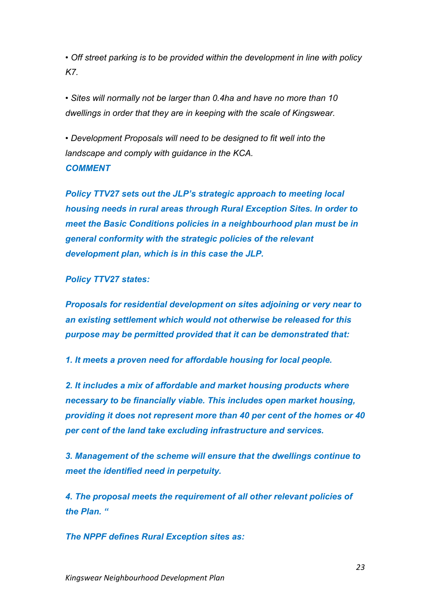*• Off street parking is to be provided within the development in line with policy K7.*

*• Sites will normally not be larger than 0.4ha and have no more than 10 dwellings in order that they are in keeping with the scale of Kingswear.*

*• Development Proposals will need to be designed to fit well into the landscape and comply with guidance in the KCA. COMMENT*

*Policy TTV27 sets out the JLP's strategic approach to meeting local housing needs in rural areas through Rural Exception Sites. In order to meet the Basic Conditions policies in a neighbourhood plan must be in general conformity with the strategic policies of the relevant development plan, which is in this case the JLP.*

*Policy TTV27 states:*

*Proposals for residential development on sites adjoining or very near to an existing settlement which would not otherwise be released for this purpose may be permitted provided that it can be demonstrated that:*

*1. It meets a proven need for affordable housing for local people.*

*2. It includes a mix of affordable and market housing products where necessary to be financially viable. This includes open market housing, providing it does not represent more than 40 per cent of the homes or 40 per cent of the land take excluding infrastructure and services.*

*3. Management of the scheme will ensure that the dwellings continue to meet the identified need in perpetuity.*

*4. The proposal meets the requirement of all other relevant policies of the Plan. "*

*The NPPF defines Rural Exception sites as:*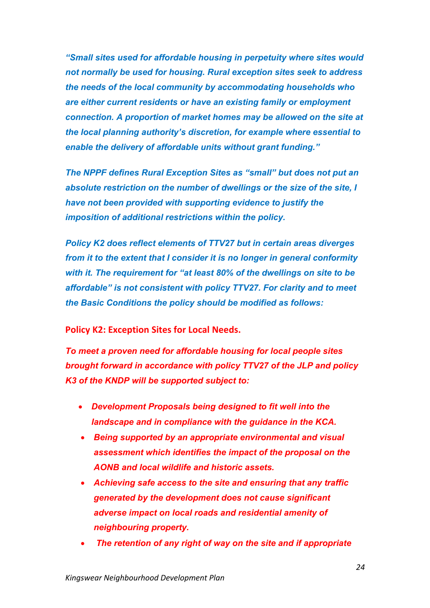*"Small sites used for affordable housing in perpetuity where sites would not normally be used for housing. Rural exception sites seek to address the needs of the local community by accommodating households who are either current residents or have an existing family or employment connection. A proportion of market homes may be allowed on the site at the local planning authority's discretion, for example where essential to enable the delivery of affordable units without grant funding."*

*The NPPF defines Rural Exception Sites as "small" but does not put an absolute restriction on the number of dwellings or the size of the site, I have not been provided with supporting evidence to justify the imposition of additional restrictions within the policy.*

*Policy K2 does reflect elements of TTV27 but in certain areas diverges from it to the extent that I consider it is no longer in general conformity with it. The requirement for "at least 80% of the dwellings on site to be affordable" is not consistent with policy TTV27. For clarity and to meet the Basic Conditions the policy should be modified as follows:*

**Policy K2: Exception Sites for Local Needs.** 

*To meet a proven need for affordable housing for local people sites brought forward in accordance with policy TTV27 of the JLP and policy K3 of the KNDP will be supported subject to:*

- *Development Proposals being designed to fit well into the landscape and in compliance with the guidance in the KCA.*
- *Being supported by an appropriate environmental and visual assessment which identifies the impact of the proposal on the AONB and local wildlife and historic assets.*
- *Achieving safe access to the site and ensuring that any traffic generated by the development does not cause significant adverse impact on local roads and residential amenity of neighbouring property.*
- *The retention of any right of way on the site and if appropriate*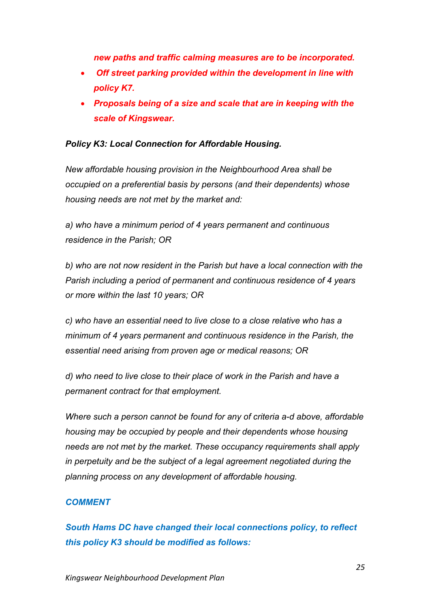*new paths and traffic calming measures are to be incorporated.*

- *Off street parking provided within the development in line with policy K7.*
- *Proposals being of a size and scale that are in keeping with the scale of Kingswear.*

## *Policy K3: Local Connection for Affordable Housing.*

*New affordable housing provision in the Neighbourhood Area shall be occupied on a preferential basis by persons (and their dependents) whose housing needs are not met by the market and:*

*a) who have a minimum period of 4 years permanent and continuous residence in the Parish; OR*

*b) who are not now resident in the Parish but have a local connection with the Parish including a period of permanent and continuous residence of 4 years or more within the last 10 years; OR*

*c) who have an essential need to live close to a close relative who has a minimum of 4 years permanent and continuous residence in the Parish, the essential need arising from proven age or medical reasons; OR*

*d) who need to live close to their place of work in the Parish and have a permanent contract for that employment.*

*Where such a person cannot be found for any of criteria a-d above, affordable housing may be occupied by people and their dependents whose housing needs are not met by the market. These occupancy requirements shall apply in perpetuity and be the subject of a legal agreement negotiated during the planning process on any development of affordable housing.*

## *COMMENT*

*South Hams DC have changed their local connections policy, to reflect this policy K3 should be modified as follows:*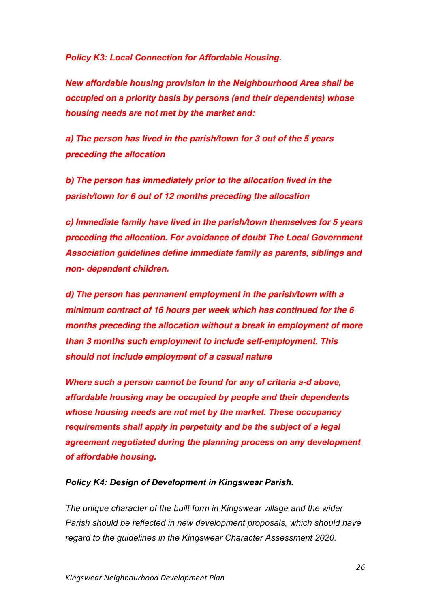*Policy K3: Local Connection for Affordable Housing.*

*New affordable housing provision in the Neighbourhood Area shall be occupied on a priority basis by persons (and their dependents) whose housing needs are not met by the market and:*

*a) The person has lived in the parish/town for 3 out of the 5 years preceding the allocation*

*b) The person has immediately prior to the allocation lived in the parish/town for 6 out of 12 months preceding the allocation* 

*c) Immediate family have lived in the parish/town themselves for 5 years preceding the allocation. For avoidance of doubt The Local Government Association guidelines define immediate family as parents, siblings and non- dependent children.* 

*d) The person has permanent employment in the parish/town with a minimum contract of 16 hours per week which has continued for the 6 months preceding the allocation without a break in employment of more than 3 months such employment to include self-employment. This should not include employment of a casual nature*

*Where such a person cannot be found for any of criteria a-d above, affordable housing may be occupied by people and their dependents whose housing needs are not met by the market. These occupancy requirements shall apply in perpetuity and be the subject of a legal agreement negotiated during the planning process on any development of affordable housing.*

#### *Policy K4: Design of Development in Kingswear Parish.*

*The unique character of the built form in Kingswear village and the wider Parish should be reflected in new development proposals, which should have regard to the guidelines in the Kingswear Character Assessment 2020.*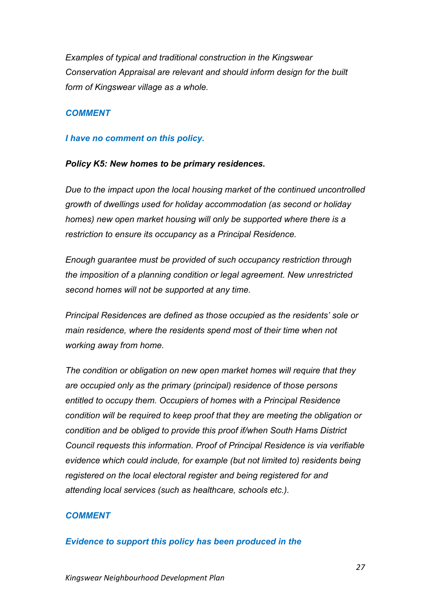*Examples of typical and traditional construction in the Kingswear Conservation Appraisal are relevant and should inform design for the built form of Kingswear village as a whole.*

## *COMMENT*

#### *I have no comment on this policy.*

#### *Policy K5: New homes to be primary residences.*

*Due to the impact upon the local housing market of the continued uncontrolled growth of dwellings used for holiday accommodation (as second or holiday homes) new open market housing will only be supported where there is a restriction to ensure its occupancy as a Principal Residence.*

*Enough guarantee must be provided of such occupancy restriction through the imposition of a planning condition or legal agreement. New unrestricted second homes will not be supported at any time.*

*Principal Residences are defined as those occupied as the residents' sole or main residence, where the residents spend most of their time when not working away from home.*

*The condition or obligation on new open market homes will require that they are occupied only as the primary (principal) residence of those persons entitled to occupy them. Occupiers of homes with a Principal Residence condition will be required to keep proof that they are meeting the obligation or condition and be obliged to provide this proof if/when South Hams District Council requests this information. Proof of Principal Residence is via verifiable evidence which could include, for example (but not limited to) residents being registered on the local electoral register and being registered for and attending local services (such as healthcare, schools etc.).*

## *COMMENT*

## *Evidence to support this policy has been produced in the*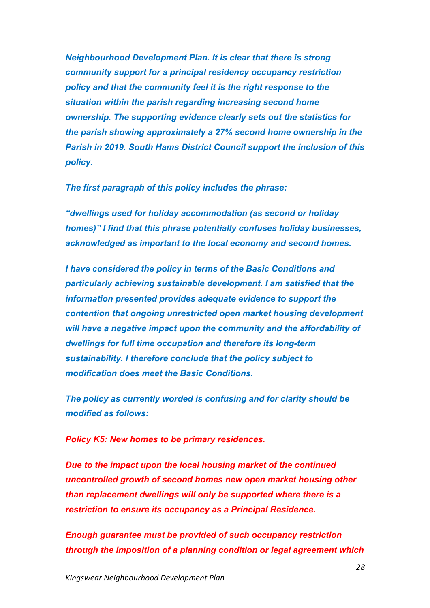*Neighbourhood Development Plan. It is clear that there is strong community support for a principal residency occupancy restriction policy and that the community feel it is the right response to the situation within the parish regarding increasing second home ownership. The supporting evidence clearly sets out the statistics for the parish showing approximately a 27% second home ownership in the Parish in 2019. South Hams District Council support the inclusion of this policy.* 

*The first paragraph of this policy includes the phrase:*

*"dwellings used for holiday accommodation (as second or holiday homes)" I find that this phrase potentially confuses holiday businesses, acknowledged as important to the local economy and second homes.* 

*I have considered the policy in terms of the Basic Conditions and particularly achieving sustainable development. I am satisfied that the information presented provides adequate evidence to support the contention that ongoing unrestricted open market housing development will have a negative impact upon the community and the affordability of dwellings for full time occupation and therefore its long-term sustainability. I therefore conclude that the policy subject to modification does meet the Basic Conditions.*

*The policy as currently worded is confusing and for clarity should be modified as follows:*

*Policy K5: New homes to be primary residences.*

*Due to the impact upon the local housing market of the continued uncontrolled growth of second homes new open market housing other than replacement dwellings will only be supported where there is a restriction to ensure its occupancy as a Principal Residence.*

*Enough guarantee must be provided of such occupancy restriction through the imposition of a planning condition or legal agreement which*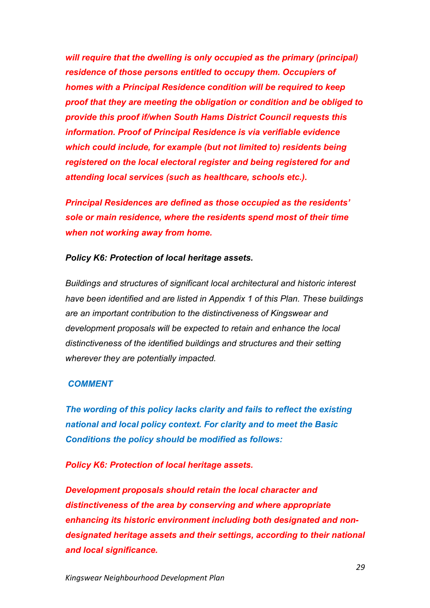*will require that the dwelling is only occupied as the primary (principal) residence of those persons entitled to occupy them. Occupiers of homes with a Principal Residence condition will be required to keep proof that they are meeting the obligation or condition and be obliged to provide this proof if/when South Hams District Council requests this information. Proof of Principal Residence is via verifiable evidence which could include, for example (but not limited to) residents being registered on the local electoral register and being registered for and attending local services (such as healthcare, schools etc.).*

*Principal Residences are defined as those occupied as the residents' sole or main residence, where the residents spend most of their time when not working away from home.*

#### *Policy K6: Protection of local heritage assets.*

*Buildings and structures of significant local architectural and historic interest have been identified and are listed in Appendix 1 of this Plan. These buildings are an important contribution to the distinctiveness of Kingswear and development proposals will be expected to retain and enhance the local distinctiveness of the identified buildings and structures and their setting wherever they are potentially impacted.*

#### *COMMENT*

*The wording of this policy lacks clarity and fails to reflect the existing national and local policy context. For clarity and to meet the Basic Conditions the policy should be modified as follows:* 

*Policy K6: Protection of local heritage assets.*

*Development proposals should retain the local character and distinctiveness of the area by conserving and where appropriate enhancing its historic environment including both designated and nondesignated heritage assets and their settings, according to their national and local significance.*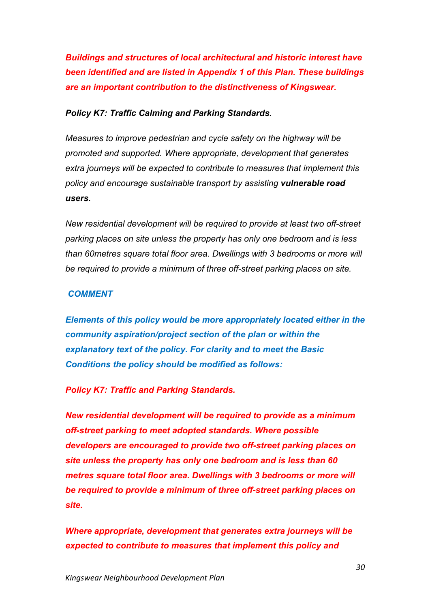*Buildings and structures of local architectural and historic interest have been identified and are listed in Appendix 1 of this Plan. These buildings are an important contribution to the distinctiveness of Kingswear.*

#### *Policy K7: Traffic Calming and Parking Standards.*

*Measures to improve pedestrian and cycle safety on the highway will be promoted and supported. Where appropriate, development that generates extra journeys will be expected to contribute to measures that implement this policy and encourage sustainable transport by assisting vulnerable road users.*

*New residential development will be required to provide at least two off-street parking places on site unless the property has only one bedroom and is less than 60metres square total floor area. Dwellings with 3 bedrooms or more will be required to provide a minimum of three off-street parking places on site.*

#### *COMMENT*

*Elements of this policy would be more appropriately located either in the community aspiration/project section of the plan or within the explanatory text of the policy. For clarity and to meet the Basic Conditions the policy should be modified as follows:*

#### *Policy K7: Traffic and Parking Standards.*

*New residential development will be required to provide as a minimum off-street parking to meet adopted standards. Where possible developers are encouraged to provide two off-street parking places on site unless the property has only one bedroom and is less than 60 metres square total floor area. Dwellings with 3 bedrooms or more will be required to provide a minimum of three off-street parking places on site.*

*Where appropriate, development that generates extra journeys will be expected to contribute to measures that implement this policy and*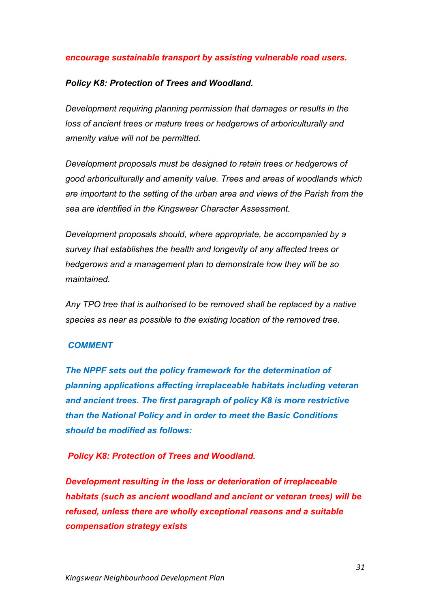#### *encourage sustainable transport by assisting vulnerable road users.*

#### *Policy K8: Protection of Trees and Woodland.*

*Development requiring planning permission that damages or results in the loss of ancient trees or mature trees or hedgerows of arboriculturally and amenity value will not be permitted.*

*Development proposals must be designed to retain trees or hedgerows of good arboriculturally and amenity value. Trees and areas of woodlands which are important to the setting of the urban area and views of the Parish from the sea are identified in the Kingswear Character Assessment.*

*Development proposals should, where appropriate, be accompanied by a survey that establishes the health and longevity of any affected trees or hedgerows and a management plan to demonstrate how they will be so maintained.*

*Any TPO tree that is authorised to be removed shall be replaced by a native species as near as possible to the existing location of the removed tree.*

#### *COMMENT*

*The NPPF sets out the policy framework for the determination of planning applications affecting irreplaceable habitats including veteran and ancient trees. The first paragraph of policy K8 is more restrictive than the National Policy and in order to meet the Basic Conditions should be modified as follows:*

#### *Policy K8: Protection of Trees and Woodland.*

*Development resulting in the loss or deterioration of irreplaceable habitats (such as ancient woodland and ancient or veteran trees) will be refused, unless there are wholly exceptional reasons and a suitable compensation strategy exists*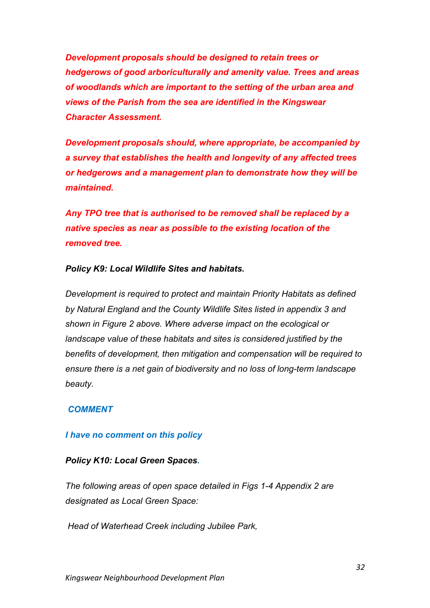*Development proposals should be designed to retain trees or hedgerows of good arboriculturally and amenity value. Trees and areas of woodlands which are important to the setting of the urban area and views of the Parish from the sea are identified in the Kingswear Character Assessment.*

*Development proposals should, where appropriate, be accompanied by a survey that establishes the health and longevity of any affected trees or hedgerows and a management plan to demonstrate how they will be maintained.*

*Any TPO tree that is authorised to be removed shall be replaced by a native species as near as possible to the existing location of the removed tree.*

#### *Policy K9: Local Wildlife Sites and habitats.*

*Development is required to protect and maintain Priority Habitats as defined by Natural England and the County Wildlife Sites listed in appendix 3 and shown in Figure 2 above. Where adverse impact on the ecological or landscape value of these habitats and sites is considered justified by the benefits of development, then mitigation and compensation will be required to ensure there is a net gain of biodiversity and no loss of long-term landscape beauty.*

#### *COMMENT*

#### *I have no comment on this policy*

#### *Policy K10: Local Green Spaces.*

*The following areas of open space detailed in Figs 1-4 Appendix 2 are designated as Local Green Space:*

*Head of Waterhead Creek including Jubilee Park,*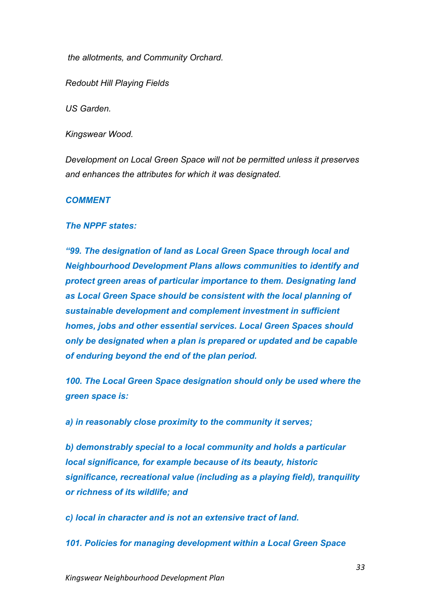*the allotments, and Community Orchard.*

*Redoubt Hill Playing Fields*

*US Garden.*

*Kingswear Wood.*

*Development on Local Green Space will not be permitted unless it preserves and enhances the attributes for which it was designated.*

#### *COMMENT*

#### *The NPPF states:*

*"99. The designation of land as Local Green Space through local and Neighbourhood Development Plans allows communities to identify and protect green areas of particular importance to them. Designating land as Local Green Space should be consistent with the local planning of sustainable development and complement investment in sufficient homes, jobs and other essential services. Local Green Spaces should only be designated when a plan is prepared or updated and be capable of enduring beyond the end of the plan period.*

*100. The Local Green Space designation should only be used where the green space is:*

*a) in reasonably close proximity to the community it serves;*

*b) demonstrably special to a local community and holds a particular local significance, for example because of its beauty, historic significance, recreational value (including as a playing field), tranquility or richness of its wildlife; and*

*c) local in character and is not an extensive tract of land.*

*101. Policies for managing development within a Local Green Space*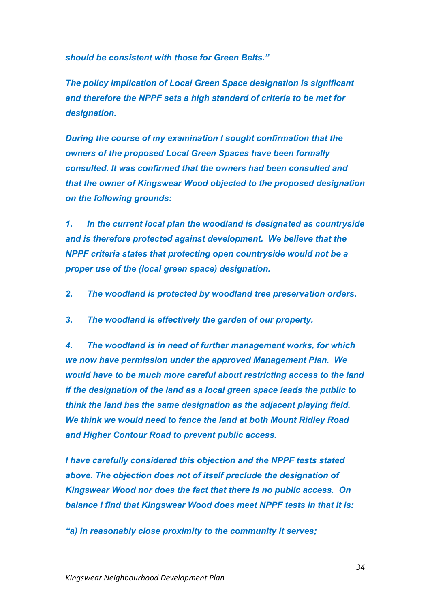*should be consistent with those for Green Belts."*

*The policy implication of Local Green Space designation is significant and therefore the NPPF sets a high standard of criteria to be met for designation.* 

*During the course of my examination I sought confirmation that the owners of the proposed Local Green Spaces have been formally consulted. It was confirmed that the owners had been consulted and that the owner of Kingswear Wood objected to the proposed designation on the following grounds:*

*1. In the current local plan the woodland is designated as countryside and is therefore protected against development. We believe that the NPPF criteria states that protecting open countryside would not be a proper use of the (local green space) designation.*

- *2. The woodland is protected by woodland tree preservation orders.*
- *3. The woodland is effectively the garden of our property.*

*4. The woodland is in need of further management works, for which we now have permission under the approved Management Plan. We would have to be much more careful about restricting access to the land if the designation of the land as a local green space leads the public to think the land has the same designation as the adjacent playing field. We think we would need to fence the land at both Mount Ridley Road and Higher Contour Road to prevent public access.*

*I have carefully considered this objection and the NPPF tests stated above. The objection does not of itself preclude the designation of Kingswear Wood nor does the fact that there is no public access. On balance I find that Kingswear Wood does meet NPPF tests in that it is:*

*"a) in reasonably close proximity to the community it serves;*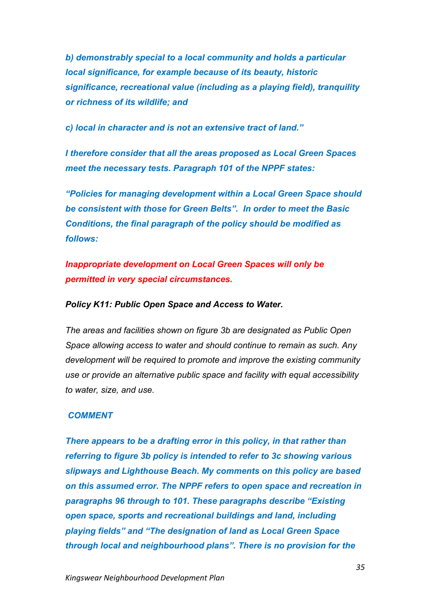*b) demonstrably special to a local community and holds a particular local significance, for example because of its beauty, historic significance, recreational value (including as a playing field), tranquility or richness of its wildlife; and*

*c) local in character and is not an extensive tract of land."*

*I therefore consider that all the areas proposed as Local Green Spaces meet the necessary tests. Paragraph 101 of the NPPF states:*

*"Policies for managing development within a Local Green Space should be consistent with those for Green Belts". In order to meet the Basic Conditions, the final paragraph of the policy should be modified as follows:* 

*Inappropriate development on Local Green Spaces will only be permitted in very special circumstances.*

*Policy K11: Public Open Space and Access to Water.*

*The areas and facilities shown on figure 3b are designated as Public Open Space allowing access to water and should continue to remain as such. Any development will be required to promote and improve the existing community use or provide an alternative public space and facility with equal accessibility to water, size, and use.*

#### *COMMENT*

*There appears to be a drafting error in this policy, in that rather than referring to figure 3b policy is intended to refer to 3c showing various slipways and Lighthouse Beach. My comments on this policy are based on this assumed error. The NPPF refers to open space and recreation in paragraphs 96 through to 101. These paragraphs describe "Existing open space, sports and recreational buildings and land, including playing fields" and "The designation of land as Local Green Space through local and neighbourhood plans". There is no provision for the*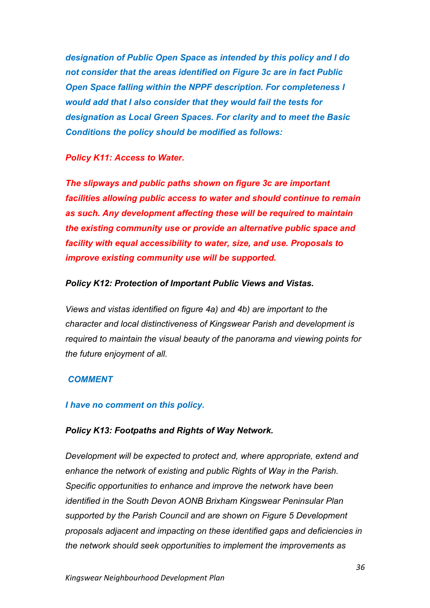*designation of Public Open Space as intended by this policy and I do not consider that the areas identified on Figure 3c are in fact Public Open Space falling within the NPPF description. For completeness I would add that I also consider that they would fail the tests for designation as Local Green Spaces. For clarity and to meet the Basic Conditions the policy should be modified as follows:*

#### *Policy K11: Access to Water.*

*The slipways and public paths shown on figure 3c are important facilities allowing public access to water and should continue to remain as such. Any development affecting these will be required to maintain the existing community use or provide an alternative public space and facility with equal accessibility to water, size, and use. Proposals to improve existing community use will be supported.*

#### *Policy K12: Protection of Important Public Views and Vistas.*

*Views and vistas identified on figure 4a) and 4b) are important to the character and local distinctiveness of Kingswear Parish and development is required to maintain the visual beauty of the panorama and viewing points for the future enjoyment of all.*

## *COMMENT*

#### *I have no comment on this policy.*

#### *Policy K13: Footpaths and Rights of Way Network.*

*Development will be expected to protect and, where appropriate, extend and enhance the network of existing and public Rights of Way in the Parish. Specific opportunities to enhance and improve the network have been identified in the South Devon AONB Brixham Kingswear Peninsular Plan supported by the Parish Council and are shown on Figure 5 Development proposals adjacent and impacting on these identified gaps and deficiencies in the network should seek opportunities to implement the improvements as*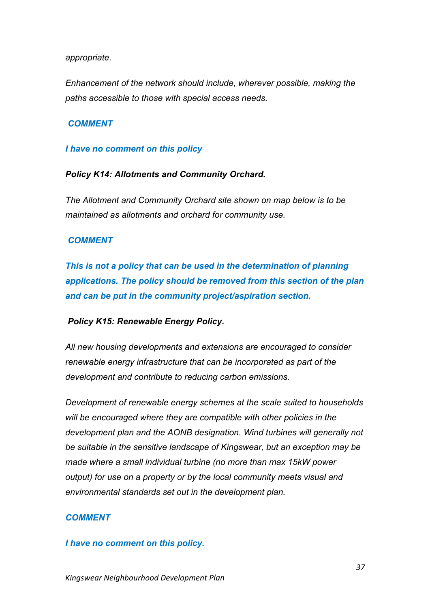#### *appropriate.*

*Enhancement of the network should include, wherever possible, making the paths accessible to those with special access needs.*

## *COMMENT*

#### *I have no comment on this policy*

#### *Policy K14: Allotments and Community Orchard.*

*The Allotment and Community Orchard site shown on map below is to be maintained as allotments and orchard for community use.*

## *COMMENT*

*This is not a policy that can be used in the determination of planning applications. The policy should be removed from this section of the plan and can be put in the community project/aspiration section.*

## *Policy K15: Renewable Energy Policy.*

*All new housing developments and extensions are encouraged to consider renewable energy infrastructure that can be incorporated as part of the development and contribute to reducing carbon emissions.*

*Development of renewable energy schemes at the scale suited to households will be encouraged where they are compatible with other policies in the development plan and the AONB designation. Wind turbines will generally not be suitable in the sensitive landscape of Kingswear, but an exception may be made where a small individual turbine (no more than max 15kW power output) for use on a property or by the local community meets visual and environmental standards set out in the development plan.*

## *COMMENT*

#### *I have no comment on this policy.*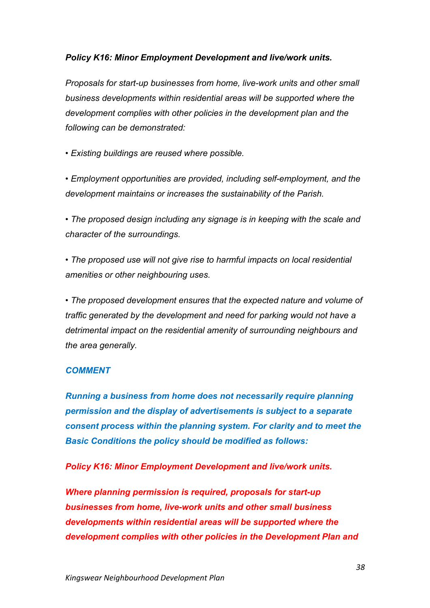## *Policy K16: Minor Employment Development and live/work units.*

*Proposals for start-up businesses from home, live-work units and other small business developments within residential areas will be supported where the development complies with other policies in the development plan and the following can be demonstrated:*

*• Existing buildings are reused where possible.*

*• Employment opportunities are provided, including self-employment, and the development maintains or increases the sustainability of the Parish.*

*• The proposed design including any signage is in keeping with the scale and character of the surroundings.*

*• The proposed use will not give rise to harmful impacts on local residential amenities or other neighbouring uses.*

*• The proposed development ensures that the expected nature and volume of traffic generated by the development and need for parking would not have a detrimental impact on the residential amenity of surrounding neighbours and the area generally.*

## *COMMENT*

*Running a business from home does not necessarily require planning permission and the display of advertisements is subject to a separate consent process within the planning system. For clarity and to meet the Basic Conditions the policy should be modified as follows:*

*Policy K16: Minor Employment Development and live/work units.*

*Where planning permission is required, proposals for start-up businesses from home, live-work units and other small business developments within residential areas will be supported where the development complies with other policies in the Development Plan and*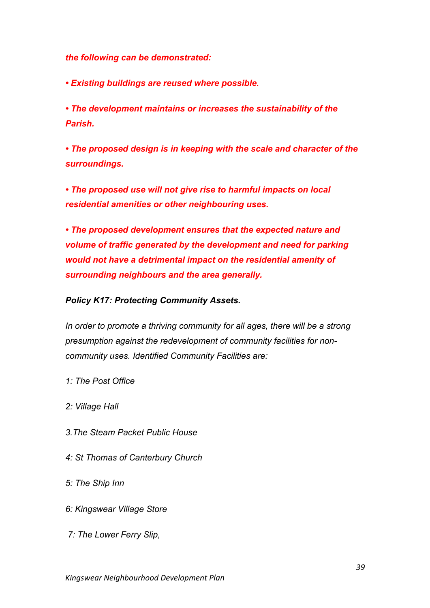*the following can be demonstrated:*

*• Existing buildings are reused where possible.*

*• The development maintains or increases the sustainability of the Parish.*

*• The proposed design is in keeping with the scale and character of the surroundings.*

*• The proposed use will not give rise to harmful impacts on local residential amenities or other neighbouring uses.*

*• The proposed development ensures that the expected nature and volume of traffic generated by the development and need for parking would not have a detrimental impact on the residential amenity of surrounding neighbours and the area generally.*

*Policy K17: Protecting Community Assets.*

*In order to promote a thriving community for all ages, there will be a strong presumption against the redevelopment of community facilities for noncommunity uses. Identified Community Facilities are:*

- *1: The Post Office*
- *2: Village Hall*
- *3.The Steam Packet Public House*
- *4: St Thomas of Canterbury Church*
- *5: The Ship Inn*
- *6: Kingswear Village Store*
- *7: The Lower Ferry Slip,*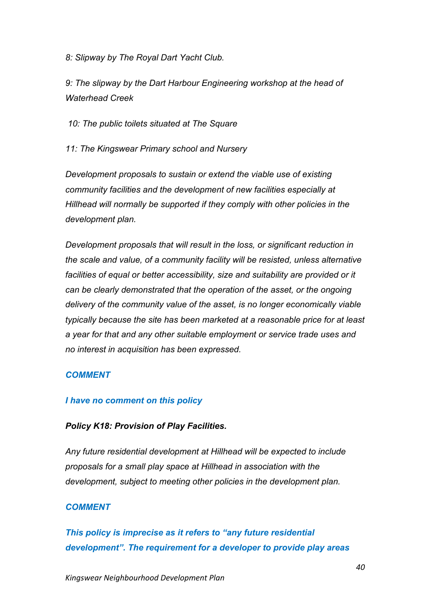*8: Slipway by The Royal Dart Yacht Club.*

*9: The slipway by the Dart Harbour Engineering workshop at the head of Waterhead Creek*

*10: The public toilets situated at The Square*

*11: The Kingswear Primary school and Nursery*

*Development proposals to sustain or extend the viable use of existing community facilities and the development of new facilities especially at Hillhead will normally be supported if they comply with other policies in the development plan.*

*Development proposals that will result in the loss, or significant reduction in the scale and value, of a community facility will be resisted, unless alternative facilities of equal or better accessibility, size and suitability are provided or it can be clearly demonstrated that the operation of the asset, or the ongoing delivery of the community value of the asset, is no longer economically viable typically because the site has been marketed at a reasonable price for at least a year for that and any other suitable employment or service trade uses and no interest in acquisition has been expressed.*

## *COMMENT*

## *I have no comment on this policy*

## *Policy K18: Provision of Play Facilities.*

*Any future residential development at Hillhead will be expected to include proposals for a small play space at Hillhead in association with the development, subject to meeting other policies in the development plan.*

## *COMMENT*

*This policy is imprecise as it refers to "any future residential development". The requirement for a developer to provide play areas*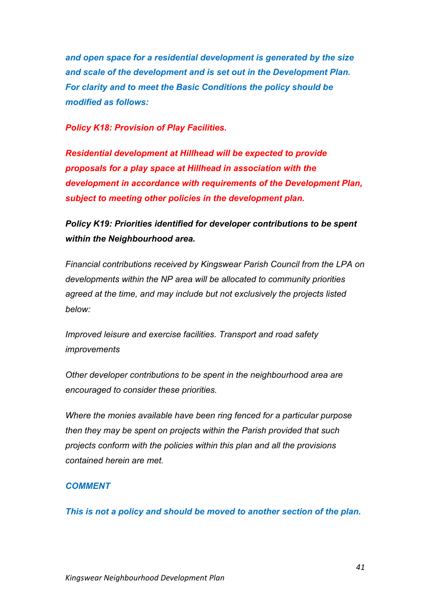*and open space for a residential development is generated by the size and scale of the development and is set out in the Development Plan. For clarity and to meet the Basic Conditions the policy should be modified as follows:*

#### *Policy K18: Provision of Play Facilities.*

*Residential development at Hillhead will be expected to provide proposals for a play space at Hillhead in association with the development in accordance with requirements of the Development Plan, subject to meeting other policies in the development plan.*

# *Policy K19: Priorities identified for developer contributions to be spent within the Neighbourhood area.*

*Financial contributions received by Kingswear Parish Council from the LPA on developments within the NP area will be allocated to community priorities agreed at the time, and may include but not exclusively the projects listed below:*

*Improved leisure and exercise facilities. Transport and road safety improvements*

*Other developer contributions to be spent in the neighbourhood area are encouraged to consider these priorities.*

*Where the monies available have been ring fenced for a particular purpose then they may be spent on projects within the Parish provided that such projects conform with the policies within this plan and all the provisions contained herein are met.*

## *COMMENT*

*This is not a policy and should be moved to another section of the plan.*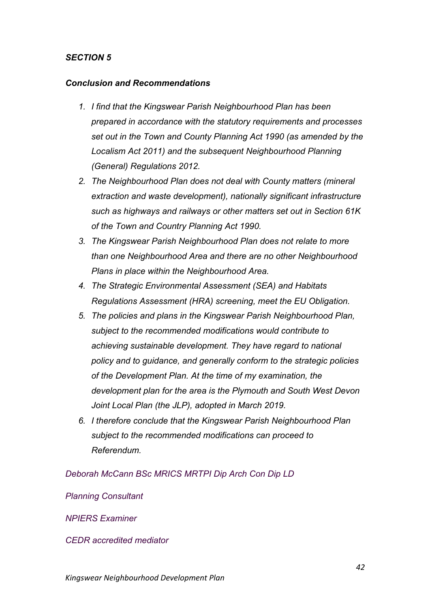#### *Conclusion and Recommendations*

- *1. I find that the Kingswear Parish Neighbourhood Plan has been prepared in accordance with the statutory requirements and processes set out in the Town and County Planning Act 1990 (as amended by the Localism Act 2011) and the subsequent Neighbourhood Planning (General) Regulations 2012.*
- *2. The Neighbourhood Plan does not deal with County matters (mineral extraction and waste development), nationally significant infrastructure such as highways and railways or other matters set out in Section 61K of the Town and Country Planning Act 1990.*
- *3. The Kingswear Parish Neighbourhood Plan does not relate to more than one Neighbourhood Area and there are no other Neighbourhood Plans in place within the Neighbourhood Area.*
- *4. The Strategic Environmental Assessment (SEA) and Habitats Regulations Assessment (HRA) screening, meet the EU Obligation.*
- *5. The policies and plans in the Kingswear Parish Neighbourhood Plan, subject to the recommended modifications would contribute to achieving sustainable development. They have regard to national policy and to guidance, and generally conform to the strategic policies of the Development Plan. At the time of my examination, the development plan for the area is the Plymouth and South West Devon Joint Local Plan (the JLP), adopted in March 2019.*
- *6. I therefore conclude that the Kingswear Parish Neighbourhood Plan subject to the recommended modifications can proceed to Referendum.*

*Deborah McCann BSc MRICS MRTPI Dip Arch Con Dip LD*

*Planning Consultant*

*NPIERS Examiner*

*CEDR accredited mediator*